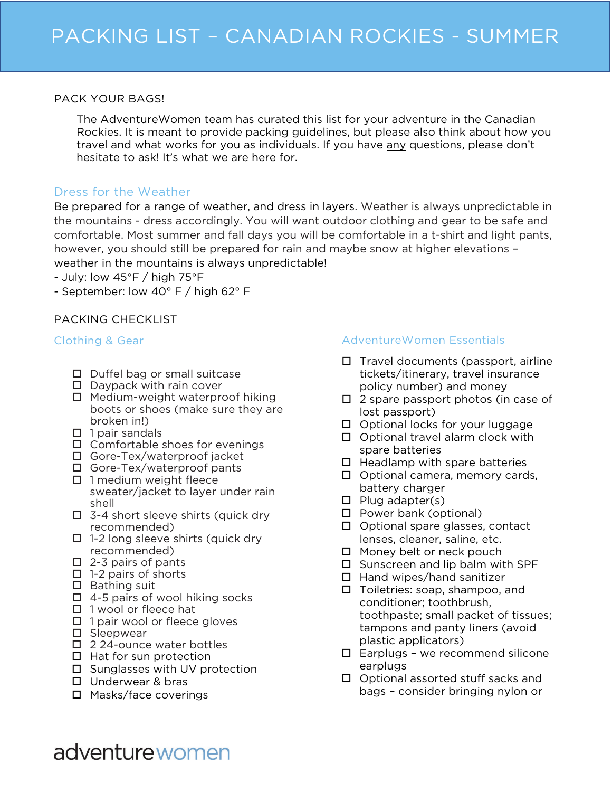#### PACK YOUR BAGS!

The AdventureWomen team has curated this list for your adventure in the Canadian Rockies. It is meant to provide packing guidelines, but please also think about how you travel and what works for you as individuals. If you have any questions, please don't hesitate to ask! It's what we are here for.

## Dress for the Weather

Be prepared for a range of weather, and dress in layers. Weather is always unpredictable in the mountains - dress accordingly. You will want outdoor clothing and gear to be safe and comfortable. Most summer and fall days you will be comfortable in a t-shirt and light pants, however, you should still be prepared for rain and maybe snow at higher elevations – weather in the mountains is always unpredictable!

- July: low 45°F / high 75°F

- September: low 40° F / high 62° F

# PACKING CHECKLIST

#### Clothing & Gear

- $\square$  Duffel bag or small suitcase
- $\Box$  Daypack with rain cover
- $\Box$  Medium-weight waterproof hiking boots or shoes (make sure they are broken in!)
- $\Box$  1 pair sandals
- $\square$  Comfortable shoes for evenings
- □ Gore-Tex/waterproof jacket
- □ Gore-Tex/waterproof pants
- $\Box$  1 medium weight fleece sweater/jacket to layer under rain shell
- $\Box$  3-4 short sleeve shirts (quick dry recommended)
- $\Box$  1-2 long sleeve shirts (quick dry recommended)
- $\Box$  2-3 pairs of pants
- $\Box$  1-2 pairs of shorts
- $\square$  Bathing suit
- $\Box$  4-5 pairs of wool hiking socks
- $\Box$  1 wool or fleece hat
- $\Box$  1 pair wool or fleece gloves
- $\square$  Sleepwear
- □ 224-ounce water bottles
- $\Box$  Hat for sun protection
- $\square$  Sunglasses with UV protection
- □ Underwear & bras
- □ Masks/face coverings

### AdventureWomen Essentials

- $\Box$  Travel documents (passport, airline tickets/itinerary, travel insurance policy number) and money
- $\Box$  2 spare passport photos (in case of lost passport)
- $\square$  Optional locks for your luggage
- $\Box$  Optional travel alarm clock with spare batteries
- $\Box$  Headlamp with spare batteries
- $\Box$  Optional camera, memory cards, battery charger
- $\Box$  Plug adapter(s)
- □ Power bank (optional)
- $\Box$  Optional spare glasses, contact lenses, cleaner, saline, etc.
- $\Box$  Money belt or neck pouch
- $\square$  Sunscreen and lip balm with SPF
- $\Box$  Hand wipes/hand sanitizer
- $\Box$  Toiletries: soap, shampoo, and conditioner; toothbrush, toothpaste; small packet of tissues; tampons and panty liners (avoid plastic applicators)
- $\square$  Earplugs we recommend silicone earplugs
- $\Box$  Optional assorted stuff sacks and bags – consider bringing nylon or

# adventure women